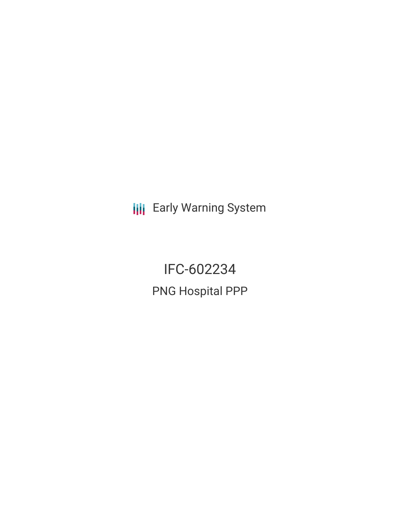**III** Early Warning System

IFC-602234 PNG Hospital PPP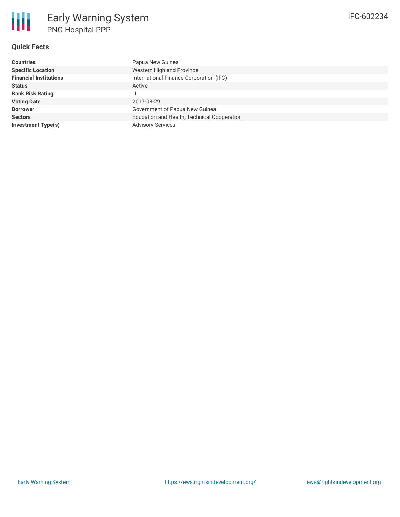# **Quick Facts**

| <b>Countries</b>              | Papua New Guinea                            |
|-------------------------------|---------------------------------------------|
| <b>Specific Location</b>      | Western Highland Province                   |
| <b>Financial Institutions</b> | International Finance Corporation (IFC)     |
| <b>Status</b>                 | Active                                      |
| <b>Bank Risk Rating</b>       | U                                           |
| <b>Voting Date</b>            | 2017-08-29                                  |
| <b>Borrower</b>               | Government of Papua New Guinea              |
| <b>Sectors</b>                | Education and Health, Technical Cooperation |
| <b>Investment Type(s)</b>     | <b>Advisory Services</b>                    |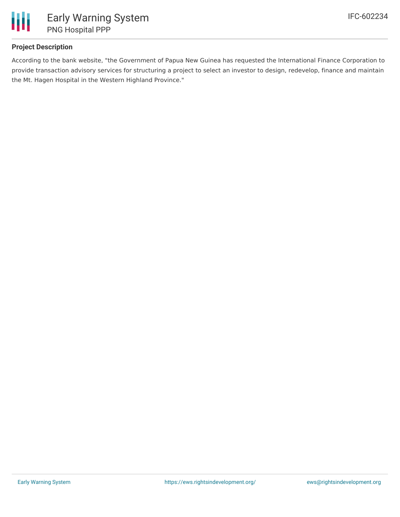

# **Project Description**

According to the bank website, "the Government of Papua New Guinea has requested the International Finance Corporation to provide transaction advisory services for structuring a project to select an investor to design, redevelop, finance and maintain the Mt. Hagen Hospital in the Western Highland Province."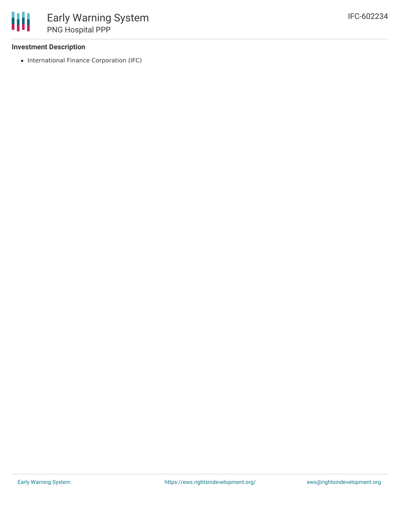### **Investment Description**

• International Finance Corporation (IFC)